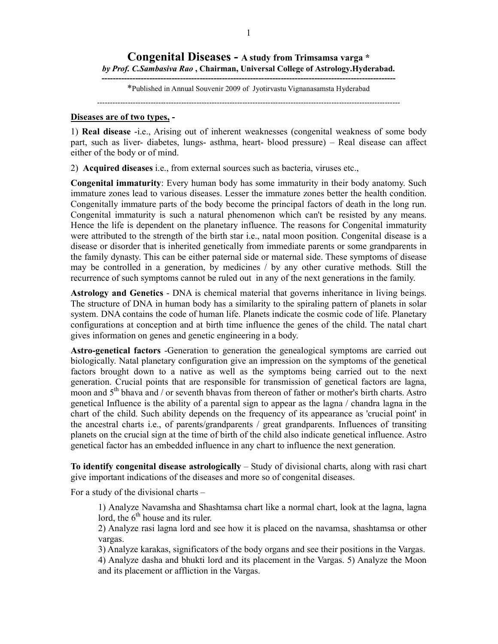## **Congenital Diseases - A study from Trimsamsa varga \***  *by Prof. C.Sambasiva Rao* **, Chairman, Universal College of Astrology.Hyderabad.**

**---------------------------------------------------------------------------------------------------------**  \*Published in Annual Souvenir 2009 of Jyotirvastu Vignanasamsta Hyderabad

-----------------------------------------------------------------------------------------------------------------------

## **Diseases are of two types, -**

1) **Real disease** -i.e., Arising out of inherent weaknesses (congenital weakness of some body part, such as liver- diabetes, lungs- asthma, heart- blood pressure) – Real disease can affect either of the body or of mind.

2) **Acquired diseases** i.e., from external sources such as bacteria, viruses etc.,

**Congenital immaturity**: Every human body has some immaturity in their body anatomy. Such immature zones lead to various diseases. Lesser the immature zones better the health condition. Congenitally immature parts of the body become the principal factors of death in the long run. Congenital immaturity is such a natural phenomenon which can't be resisted by any means. Hence the life is dependent on the planetary influence. The reasons for Congenital immaturity were attributed to the strength of the birth star i.e., natal moon position. Congenital disease is a disease or disorder that is inherited genetically from immediate parents or some grandparents in the family dynasty. This can be either paternal side or maternal side. These symptoms of disease may be controlled in a generation, by medicines / by any other curative methods. Still the recurrence of such symptoms cannot be ruled out in any of the next generations in the family.

**Astrology and Genetics** - DNA is chemical material that governs inheritance in living beings. The structure of DNA in human body has a similarity to the spiraling pattern of planets in solar system. DNA contains the code of human life. Planets indicate the cosmic code of life. Planetary configurations at conception and at birth time influence the genes of the child. The natal chart gives information on genes and genetic engineering in a body.

**Astro-genetical factors** -Generation to generation the genealogical symptoms are carried out biologically. Natal planetary configuration give an impression on the symptoms of the genetical factors brought down to a native as well as the symptoms being carried out to the next generation. Crucial points that are responsible for transmission of genetical factors are lagna, moon and  $5<sup>th</sup>$  bhava and / or seventh bhavas from thereon of father or mother's birth charts. Astro genetical Influence is the ability of a parental sign to appear as the lagna / chandra lagna in the chart of the child. Such ability depends on the frequency of its appearance as 'crucial point' in the ancestral charts i.e., of parents/grandparents / great grandparents. Influences of transiting planets on the crucial sign at the time of birth of the child also indicate genetical influence. Astro genetical factor has an embedded influence in any chart to influence the next generation.

**To identify congenital disease astrologically** – Study of divisional charts, along with rasi chart give important indications of the diseases and more so of congenital diseases.

For a study of the divisional charts –

1) Analyze Navamsha and Shashtamsa chart like a normal chart, look at the lagna, lagna lord, the  $6<sup>th</sup>$  house and its ruler.

2) Analyze rasi lagna lord and see how it is placed on the navamsa, shashtamsa or other vargas.

3) Analyze karakas, significators of the body organs and see their positions in the Vargas.

4) Analyze dasha and bhukti lord and its placement in the Vargas. 5) Analyze the Moon and its placement or affliction in the Vargas.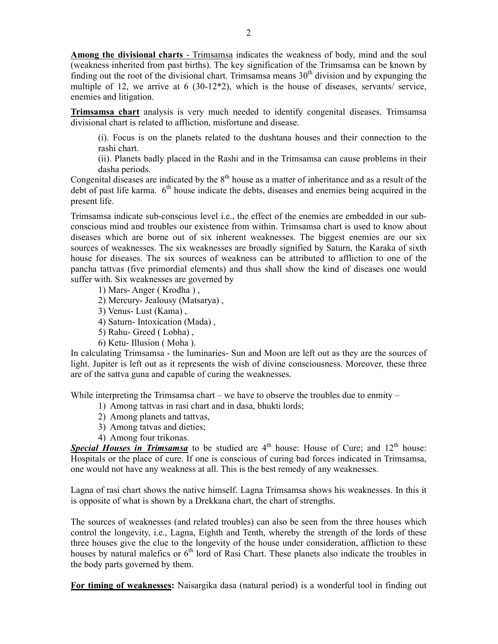**Among the divisional charts** - Trimsamsa indicates the weakness of body, mind and the soul (weakness inherited from past births). The key signification of the Trimsamsa can be known by finding out the root of the divisional chart. Trimsamsa means  $30<sup>th</sup>$  division and by expunging the multiple of 12, we arrive at 6 (30-12\*2), which is the house of diseases, servants/ service, enemies and litigation.

**Trimsamsa chart** analysis is very much needed to identify congenital diseases. Trimsamsa divisional chart is related to affliction, misfortune and disease.

(i). Focus is on the planets related to the dushtana houses and their connection to the rashi chart.

(ii). Planets badly placed in the Rashi and in the Trimsamsa can cause problems in their dasha periods.

Congenital diseases are indicated by the  $8<sup>th</sup>$  house as a matter of inheritance and as a result of the debt of past life karma.  $6<sup>th</sup>$  house indicate the debts, diseases and enemies being acquired in the present life.

Trimsamsa indicate sub-conscious level i.e., the effect of the enemies are embedded in our subconscious mind and troubles our existence from within. Trimsamsa chart is used to know about diseases which are borne out of six inherent weaknesses. The biggest enemies are our six sources of weaknesses. The six weaknesses are broadly signified by Saturn, the Karaka of sixth house for diseases. The six sources of weakness can be attributed to affliction to one of the pancha tattvas (five primordial elements) and thus shall show the kind of diseases one would suffer with. Six weaknesses are governed by

- 1) Mars- Anger ( Krodha ) ,
- 2) Mercury- Jealousy (Matsarya) ,
- 3) Venus- Lust (Kama) ,
- 4) Saturn- Intoxication (Mada) ,
- 5) Rahu- Greed ( Lobha) ,
- 6) Ketu- Illusion ( Moha ).

In calculating Trimsamsa - the luminaries- Sun and Moon are left out as they are the sources of light. Jupiter is left out as it represents the wish of divine consciousness. Moreover, these three are of the sattva guna and capable of curing the weaknesses.

While interpreting the Trimsamsa chart – we have to observe the troubles due to enmity –

- 1) Among tattvas in rasi chart and in dasa, bhukti lords;
- 2) Among planets and tattvas,
- 3) Among tatvas and dieties;
- 4) Among four trikonas.

**Special Houses in Trimsamsa** to be studied are 4<sup>th</sup> house: House of Cure; and 12<sup>th</sup> house: Hospitals or the place of cure. If one is conscious of curing bad forces indicated in Trimsamsa, one would not have any weakness at all. This is the best remedy of any weaknesses.

Lagna of rasi chart shows the native himself. Lagna Trimsamsa shows his weaknesses. In this it is opposite of what is shown by a Drekkana chart, the chart of strengths.

The sources of weaknesses (and related troubles) can also be seen from the three houses which control the longevity, i.e., Lagna, Eighth and Tenth, whereby the strength of the lords of these three houses give the clue to the longevity of the house under consideration, affliction to these houses by natural malefics or  $6<sup>th</sup>$  lord of Rasi Chart. These planets also indicate the troubles in the body parts governed by them.

**For timing of weaknesses:** Naisargika dasa (natural period) is a wonderful tool in finding out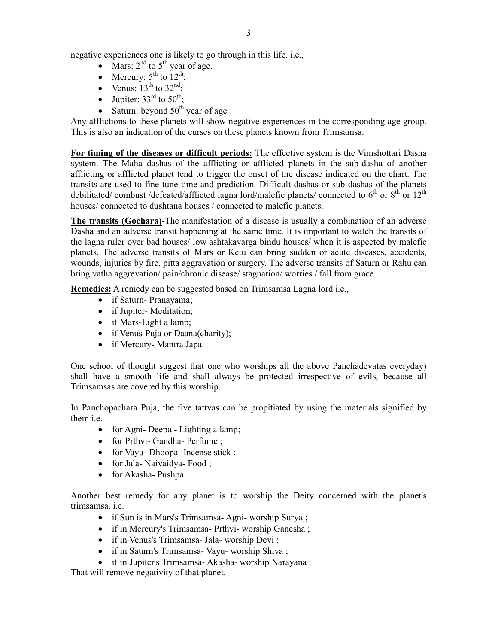negative experiences one is likely to go through in this life. i.e.,

- Mars:  $2<sup>nd</sup>$  to  $5<sup>th</sup>$  year of age,
- Mercury:  $5^{\text{th}}$  to  $12^{\text{th}}$ ;
- Venus:  $13<sup>th</sup>$  to  $32<sup>nd</sup>$ ;
- Jupiter:  $33<sup>rd</sup>$  to  $50<sup>th</sup>$ .
- Saturn: beyond  $50<sup>th</sup>$  year of age.

Any afflictions to these planets will show negative experiences in the corresponding age group. This is also an indication of the curses on these planets known from Trimsamsa.

**For timing of the diseases or difficult periods:** The effective system is the Vimshottari Dasha system. The Maha dashas of the afflicting or afflicted planets in the sub-dasha of another afflicting or afflicted planet tend to trigger the onset of the disease indicated on the chart. The transits are used to fine tune time and prediction. Difficult dashas or sub dashas of the planets debilitated/ combust /defeated/afflicted lagna lord/malefic planets/ connected to  $6<sup>th</sup>$  or  $8<sup>th</sup>$  or  $12<sup>th</sup>$ houses/ connected to dushtana houses / connected to malefic planets.

**The transits (Gochara)-**The manifestation of a disease is usually a combination of an adverse Dasha and an adverse transit happening at the same time. It is important to watch the transits of the lagna ruler over bad houses/ low ashtakavarga bindu houses/ when it is aspected by malefic planets. The adverse transits of Mars or Ketu can bring sudden or acute diseases, accidents, wounds, injuries by fire, pitta aggravation or surgery. The adverse transits of Saturn or Rahu can bring vatha aggrevation/ pain/chronic disease/ stagnation/ worries / fall from grace.

**Remedies:** A remedy can be suggested based on Trimsamsa Lagna lord i.e.,

- if Saturn- Pranayama;
- if Jupiter-Meditation;
- if Mars-Light a lamp;
- if Venus-Puja or Daana(charity);
- if Mercury- Mantra Japa.

One school of thought suggest that one who worships all the above Panchadevatas everyday) shall have a smooth life and shall always be protected irrespective of evils, because all Trimsamsas are covered by this worship.

In Panchopachara Puja, the five tattvas can be propitiated by using the materials signified by them i.e.

- for Agni- Deepa Lighting a lamp;
- for Prthvi- Gandha- Perfume ;
- for Vayu- Dhoopa- Incense stick ;
- for Jala- Naivaidya- Food;
- for Akasha- Pushpa.

Another best remedy for any planet is to worship the Deity concerned with the planet's trimsamsa. i.e.

- if Sun is in Mars's Trimsamsa- Agni- worship Surya ;
- if in Mercury's Trimsamsa- Prthvi- worship Ganesha ;
- if in Venus's Trimsamsa- Jala- worship Devi;
- if in Saturn's Trimsamsa- Vayu- worship Shiva ;
- if in Jupiter's Trimsamsa- Akasha- worship Narayana .

That will remove negativity of that planet.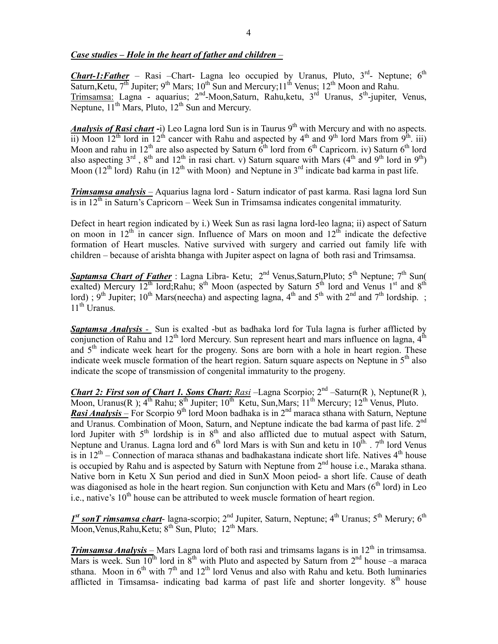## *Case studies – Hole in the heart of father and children –*

*Chart-1:Father* – Rasi –Chart- Lagna leo occupied by Uranus, Pluto,  $3^{rd}$ - Neptune; 6<sup>th</sup> Saturn, Ketu,  $7<sup>th</sup>$  Jupiter;  $9<sup>th</sup>$  Mars;  $10<sup>th</sup>$  Sun and Mercury;  $11<sup>th</sup>$  Venus;  $12<sup>th</sup>$  Moon and Rahu. Trimsamsa: Lagna - aquarius; 2<sup>nd</sup>-Moon,Saturn, Rahu,ketu, 3<sup>rd</sup> Uranus, 5<sup>th</sup>-jupiter, Venus, Neptune,  $11<sup>th</sup>$  Mars, Pluto,  $12<sup>th</sup>$  Sun and Mercury.

*Analysis of Rasi chart* -i) Leo Lagna lord Sun is in Taurus 9<sup>th</sup> with Mercury and with no aspects. ii) Moon 12<sup>th</sup> lord in 12<sup>th</sup> cancer with Rahu and aspected by 4<sup>th</sup> and 9<sup>th</sup> lord Mars from 9<sup>th</sup>. iii) Moon and rahu in 12<sup>th</sup> are also aspected by Saturn  $\tilde{6}^{th}$  lord from  $6^{th}$  Capricorn. iv) Saturn  $6^{th}$  lord also aspecting 3<sup>rd</sup>, 8<sup>th</sup> and 12<sup>th</sup> in rasi chart. v) Saturn square with Mars (4<sup>th</sup> and 9<sup>th</sup> lord in 9<sup>th</sup>) Moon  $(12<sup>th</sup>$  lord) Rahu (in  $12<sup>th</sup>$  with Moon) and Neptune in  $3<sup>rd</sup>$  indicate bad karma in past life.

*Trimsamsa analysis –* Aquarius lagna lord - Saturn indicator of past karma. Rasi lagna lord Sun is in  $12<sup>th</sup>$  in Saturn's Capricorn – Week Sun in Trimsamsa indicates congenital immaturity.

Defect in heart region indicated by i.) Week Sun as rasi lagna lord-leo lagna; ii) aspect of Saturn on moon in  $12<sup>th</sup>$  in cancer sign. Influence of Mars on moon and  $12<sup>th</sup>$  indicate the defective formation of Heart muscles. Native survived with surgery and carried out family life with children – because of arishta bhanga with Jupiter aspect on lagna of both rasi and Trimsamsa.

Saptamsa Chart of Father : Lagna Libra- Ketu; 2<sup>nd</sup> Venus, Saturn, Pluto; 5<sup>th</sup> Neptune; 7<sup>th</sup> Sun( exalted) Mercury 12<sup>th</sup> lord;Rahu; 8<sup>th</sup> Moon (aspected by Saturn 5<sup>th</sup> lord and Venus 1<sup>st</sup> and 8<sup>th</sup> lord) ; 9<sup>th</sup> Jupiter; 10<sup>th</sup> Mars(neecha) and aspecting lagna, 4<sup>th</sup> and 5<sup>th</sup> with 2<sup>nd</sup> and 7<sup>th</sup> lordship. ;  $11<sup>th</sup>$  Uranus.

*Saptamsa Analysis -* Sun is exalted -but as badhaka lord for Tula lagna is furher afflicted by conjunction of Rahu and  $12<sup>th</sup>$  lord Mercury. Sun represent heart and mars influence on lagna,  $4<sup>th</sup>$ and  $5<sup>th</sup>$  indicate week heart for the progeny. Sons are born with a hole in heart region. These indicate week muscle formation of the heart region. Saturn square aspects on Neptune in  $5<sup>th</sup>$  also indicate the scope of transmission of congenital immaturity to the progeny.

*Chart 2: First son of Chart 1. Sons Chart: Rasi* –Lagna Scorpio; 2nd –Saturn(R ), Neptune(R ), Moon, Uranus(R);  $4^{th}$  Rahu;  $8^{th}$  Jupiter;  $10^{th}$  Ketu, Sun, Mars;  $11^{th}$  Mercury;  $12^{th}$  Venus, Pluto. *Rasi Analysis* – For Scorpio 9<sup>th</sup> lord Moon badhaka is in 2<sup>nd</sup> maraca sthana with Saturn, Neptune and Uranus. Combination of Moon, Saturn, and Neptune indicate the bad karma of past life. 2<sup>nd</sup> lord Jupiter with  $5<sup>th</sup>$  lordship is in  $8<sup>th</sup>$  and also afflicted due to mutual aspect with Saturn, Neptune and Uranus. Lagna lord and  $6<sup>th</sup>$  lord Mars is with Sun and ketu in  $10<sup>th</sup>$ .  $7<sup>th</sup>$  lord Venus is in  $12<sup>th</sup>$  – Connection of maraca sthanas and badhakastana indicate short life. Natives  $4<sup>th</sup>$  house is occupied by Rahu and is aspected by Saturn with Neptune from  $2<sup>nd</sup>$  house i.e., Maraka sthana. Native born in Ketu X Sun period and died in SunX Moon peiod- a short life. Cause of death was diagonised as hole in the heart region. Sun conjunction with Ketu and Mars  $(6<sup>th</sup>$  lord) in Leo i.e., native's  $10<sup>th</sup>$  house can be attributed to week muscle formation of heart region.

1<sup>st</sup> sonT rimsamsa chart- lagna-scorpio; 2<sup>nd</sup> Jupiter, Saturn, Neptune; 4<sup>th</sup> Uranus; 5<sup>th</sup> Merury; 6<sup>th</sup> Moon, Venus, Rahu, Ketu; 8<sup>th</sup> Sun, Pluto; 12<sup>th</sup> Mars.

*Trimsamsa Analysis* – Mars Lagna lord of both rasi and trimsams lagans is in 12<sup>th</sup> in trimsamsa. Mars is week. Sun  $10^{th}$  lord in  $8^{th}$  with Pluto and aspected by Saturn from  $2^{nd}$  house –a maraca sthana. Moon in  $6<sup>th</sup>$  with  $7<sup>th</sup>$  and  $12<sup>th</sup>$  lord Venus and also with Rahu and ketu. Both luminaries afflicted in Timsamsa- indicating bad karma of past life and shorter longevity.  $8<sup>th</sup>$  house